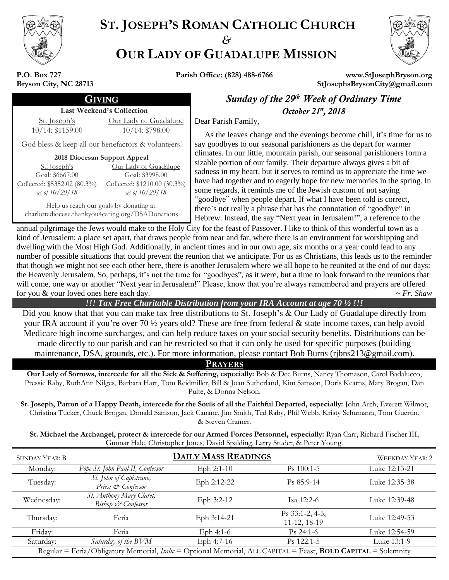

# **ST. JOSEPH'S ROMAN CATHOLIC CHURCH** *&* **OUR LADY OF GUADALUPE MISSION**



**P.O. Box 727 Bryson City, NC 28713**

**Parish Office: (828) 488-6766 www.StJosephBryson.org StJosephsBrysonCity@gmail.com**

## **GIVING Sunday of the 29<sup>th</sup> Week of Ordinary Time**

### Last Weekend's Collection

St. Joseph's 10/14: \$1159.00

Our Lady of Guadalupe 10/14: \$798.00

God bless & keep all our benefactors & volunteers!

**2018 Diocesan Support Appeal**

| <u>St. Joseph's</u>          | Our Lady of Guadalupe        |
|------------------------------|------------------------------|
| Goal: \$6667.00              | Goal: \$3998.00              |
| Collected: \$5352.02 (80.3%) | Collected: \$1210.00 (30.3%) |
| as of $10/20/18$             | as of 10/20/18               |

Help us reach our goals by donating at: charlottediocese.thankyou4caring.org/DSADonations

October 21<sup>st</sup>, 2018 Dear Parish Family, As the leaves change and the evenings become chill, it's time for us to say goodbyes to our seasonal parishioners as the depart for warmer climates. In our little, mountain parish, our seasonal parishioners form a sizable portion of our family. Their departure always gives a bit of

sadness in my heart, but it serves to remind us to appreciate the time we have had together and to eagerly hope for new memories in the spring. In some regards, it reminds me of the Jewish custom of not saying "goodbye" when people depart. If what I have been told is correct, there's not really a phrase that has the connotation of "goodbye" in Hebrew. Instead, the say "Next year in Jerusalem!", a reference to the

annual pilgrimage the Jews would make to the Holy City for the feast of Passover. I like to think of this wonderful town as a kind of Jerusalem: a place set apart, that draws people from near and far, where there is an environment for worshipping and dwelling with the Most High God. Additionally, in ancient times and in our own age, six months or a year could lead to any number of possible situations that could prevent the reunion that we anticipate. For us as Christians, this leads us to the reminder that though we might not see each other here, there is another Jerusalem where we all hope to be reunited at the end of our days: the Heavenly Jerusalem. So, perhaps, it's not the time for "goodbyes", as it were, but a time to look forward to the reunions that will come, one way or another "Next year in Jerusalem!" Please, know that you're always remembered and prayers are offered for you & your loved ones here each day.  $\sim Fr$ . Shaw

### *!!! Tax Free Charitable Distribution from your IRA Account at age 70 ½ !!!*

Did you know that that you can make tax free distributions to St. Joseph's & Our Lady of Guadalupe directly from your IRA account if you're over 70 ½ years old? These are free from federal & state income taxes, can help avoid Medicare high income surcharges, and can help reduce taxes on your social security benefits. Distributions can be made directly to our parish and can be restricted so that it can only be used for specific purposes (building maintenance, DSA, grounds, etc.). For more information, please contact Bob Burns (rjbns213@gmail.com).

**PRAYERS**

**Our Lady of Sorrows, intercede for all the Sick & Suffering, especially:** Bob & Dee Burns, Nancy Thomason, Carol Badalucco, Pressie Raby, RuthAnn Nilges, Barbara Hart, Tom Reidmiller, Bill & Joan Sutherland, Kim Samson, Doris Kearns, Mary Brogan, Dan Pulte, & Donna Nelson.

**St. Joseph, Patron of a Happy Death, intercede for the Souls of all the Faithful Departed, especially:** John Arch, Everett Wilmot, Christina Tucker, Chuck Brogan, Donald Samson, Jack Canane, Jim Smith, Ted Raby, Phil Webb, Kristy Schumann, Tom Guertin, & Steven Cramer.

**St. Michael the Archangel, protect & intercede for our Armed Forces Personnel, especially:** Ryan Carr, Richard Fischer III, Gunnar Hale, Christopher Jones, David Spalding, Larry Studer, & Peter Young.

| <b>SUNDAY YEAR: B</b>                                                                                          |                                                | <b>DAILY MASS READINGS</b> |                                 | <b>WEEKDAY YEAR: 2</b> |
|----------------------------------------------------------------------------------------------------------------|------------------------------------------------|----------------------------|---------------------------------|------------------------|
| Monday:                                                                                                        | Pope St. John Paul II, Confessor               | Eph $2:1-10$               | $Ps$ 100:1-5                    | Luke 12:13-21          |
| Tuesday:                                                                                                       | St. John of Capistrano,<br>Priest & Confessor  | Eph 2:12-22                | $Ps 85:9-14$                    | Luke 12:35-38          |
| Wednesday:                                                                                                     | St. Anthony Mary Claret,<br>Bishop & Confessor | Eph $3:2-12$               | Isa 12:2-6                      | Luke 12:39-48          |
| Thursday:                                                                                                      | Feria                                          | Eph 3:14-21                | Ps 33:1-2, 4-5,<br>11-12, 18-19 | Luke 12:49-53          |
| Friday:                                                                                                        | Feria                                          | Eph $4:1-6$                | $Ps$ 24:1-6                     | Luke 12:54-59          |
| Saturday:                                                                                                      | Saturday of the BVM                            | Eph 4:7-16                 | $Ps$ 122:1-5                    | Luke 13:1-9            |
| Regular = Feria/Obligatory Memorial, Italic = Optional Memorial, ALL CAPITAL = Feast, BOLD CAPITAL = Solemnity |                                                |                            |                                 |                        |